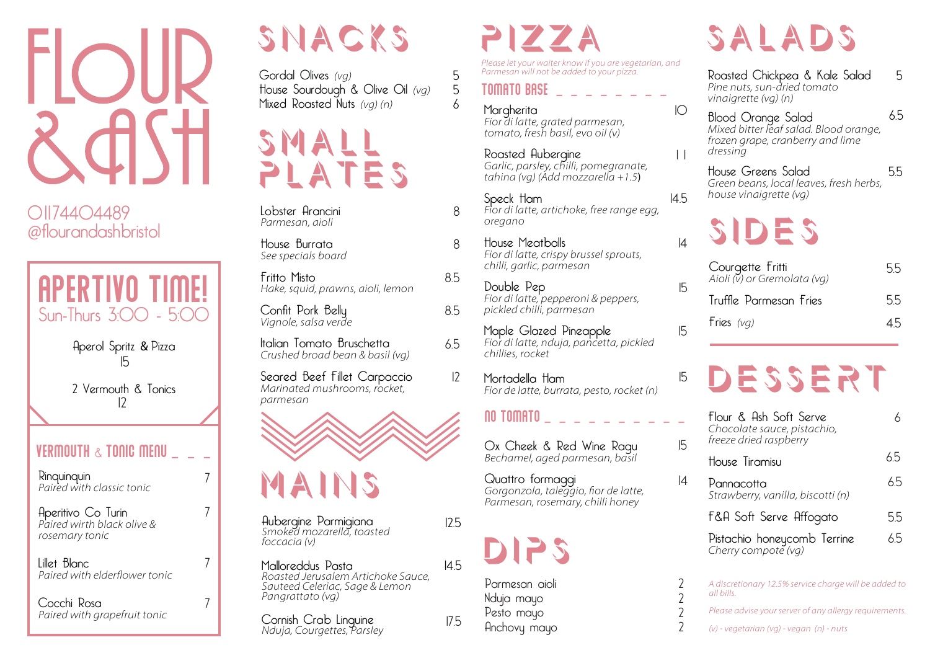

01174404489 @flourandashbristol



Aperol Spritz & Pizza 15

2 Vermouth & Tonics 12

#### VERMOUTH  $\propto$  Tonic menu

7

7

7

7

Rinquinquin Paired with classic tonic

Aperitivo Co Turin *Paired wirth black olive &* rosemary tonic

Lillet Blanc Paired with elderflower tonic

| Cocchi Rosa                  |  |
|------------------------------|--|
| Paired with grapefruit tonic |  |

## SNACKS

Gordal Olives *(vg)* House Sourdough & Olive Oil *(vg)* Mixed Roasted Nuts *(vg)* (n)



Lobster Arancini Parmesan, aioli

House Burrata See specials board

Fritto Misto Hake, squid, prawns, aioli, lemon

Confit Pork Belly *<u>Vianole</u>*, salsa verde

Italian Tomato Bruschetta *Crushed broad bean & basil (vg)* 

Seared Beef Fillet Carpaccio Marinated mushrooms, rocket, parmesan



Aubergine Parmigiana Smoked mozarella, toasted *foccacia* (v)

Malloreddus Pasta **Roasted Jerusalem Artichoke Sauce,** Sauteed Celeriac, Sage & Lemon Pangrattato (vg)

Cornish Crab Linguine *Nduia*, Couraettes, Parsley

### pizza

*Please let your waiter know if you are vegetarian, and* Parmesan will not be added to your pizza.

#### Tomato base \_ \_ \_ \_ \_ \_ \_ \_

8

5 5 6

8

8.5

8.5

6.5

 $|2$ 

12.5

14.5

17.5

Margherita Fior di latte, grated parmesan, tomato, fresh basil, evo oil (v)

Roasted Aubergine Garlic, parsley, chilli, pomegranate, tahina (vg) (Add mozzarella +1.5**)** 

Speck Ham Fior di latte, artichoke, free range egg. oregano

House Meatballs Fior di latte, crispy brussel sprouts, chilli, garlic, parmesan

Double Pep Fior di latte, pepperoni & peppers, pickled chilli, parmesan

Maple Glazed Pineapple Fior di latte, nduia, pancetta, pickled chillies, rocket

Mortadella Ham Fior de latte, burrata, pesto, rocket (n)

#### $\overline{00}$  tomato  $\overline{0}$   $\overline{0}$   $\overline{0}$   $\overline{0}$   $\overline{0}$   $\overline{0}$   $\overline{0}$   $\overline{0}$   $\overline{0}$   $\overline{0}$   $\overline{0}$   $\overline{0}$   $\overline{0}$   $\overline{0}$   $\overline{0}$   $\overline{0}$   $\overline{0}$   $\overline{0}$   $\overline{0}$   $\overline{0}$   $\overline{0}$   $\overline{0}$   $\overline{0$

Ox Cheek & Red Wine Ragu Bechamel, aged parmesan, basil

Quattro formaggi Dechanner, aged parmesant, bash<br>
Quattro formaggi<br>
Gorgonzola, taleggio, fior de latte,<br>
Parmesan, rosemary, chilli honey



Parmesan aioli Nduja mayo Pesto mayo Anchovy mayo

# SALADS

Roasted Chickpea & Kale Salad Pine nuts, sun-dried tomato *vinaigrette (vg) (n)* 

5

Blood Orange Salad Mixed bitter leaf salad. Blood orange, *frozen grape, cranberry and lime*  $d$ ressing 6.5

House Greens Salad Green beans, local leaves, fresh herbs, *house vinaigrette (vg)* 5.5

## sides

 $\bigcap$ 

1 1

14.5

14

15

15

15

15

 $\overline{A}$ 

2 2  $\overline{2}$  $\gamma$ 

| Courgette Fritti<br>Aioli (v) or Gremolata (vg) | 55 |
|-------------------------------------------------|----|
| Truffle Parmesan Fries                          | 55 |
| Fries $(vq)$                                    | 45 |

## Dessert

| Flour & Ash Soft Serve<br>Chocolate sauce, pistachio,<br>freeze dried raspberry |    |
|---------------------------------------------------------------------------------|----|
| House Tiramisu                                                                  | 65 |
| Pannacotta<br>Strawberry, vanilla, biscotti (n)                                 | 65 |
| F&A Soft Serve Affogato                                                         | 55 |
| Pistachio honeycomb Terrine<br>Cherry compote (vg)                              | 65 |
|                                                                                 |    |

A discretionary 12.5% service charge will be added to all bills.

*Please advise your server of any allergy requirements.* 

*(v)* - vegetarian (va) - vegan (n) - nuts